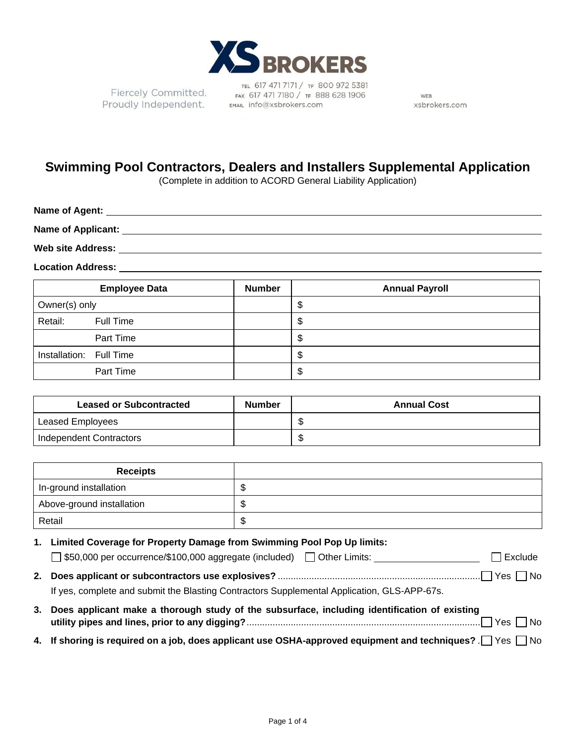

Fiercely Committed. Proudly Independent. EMAL info@xsbrokers.com

TEL 617 471 7171 / TF 800 972 5381 FAX 617 471 7180 / TF 888 628 1906

WEB xsbrokers.com

## **Swimming Pool Contractors, Dealers and Installers Supplemental Application**

(Complete in addition to ACORD General Liability Application)

| Name of Agent:           |  |
|--------------------------|--|
| Name of Applicant:       |  |
| <b>Web site Address:</b> |  |

**Location Address:**

|                         | <b>Employee Data</b> | <b>Number</b> | <b>Annual Payroll</b> |
|-------------------------|----------------------|---------------|-----------------------|
| Owner(s) only           |                      |               | \$                    |
| Retail:                 | Full Time            |               | \$                    |
|                         | Part Time            |               | \$                    |
| Installation: Full Time |                      |               | \$                    |
|                         | Part Time            |               | \$                    |

| <b>Leased or Subcontracted</b> | <b>Number</b> | <b>Annual Cost</b> |
|--------------------------------|---------------|--------------------|
| Leased Employees               |               |                    |
| Independent Contractors        |               |                    |

| <b>Receipts</b>           |   |
|---------------------------|---|
| In-ground installation    | w |
| Above-ground installation |   |
| Retail                    | w |

**1. Limited Coverage for Property Damage from Swimming Pool Pop Up limits:** □ \$50,000 per occurrence/\$100,000 aggregate (included) □ Other Limits: Network Research Bucklude **2. Does applicant or subcontractors use explosives?** .............................................................................. Yes No

If yes, complete and submit the Blasting Contractors Supplemental Application, GLS-APP-67s.

- **3. Does applicant make a thorough study of the subsurface, including identification of existing utility pipes and lines, prior to any digging?** .......................................................................................... Yes No
- **4.** If shoring is required on a job, does applicant use OSHA-approved equipment and techniques?  $\Box$  Yes  $\Box$  No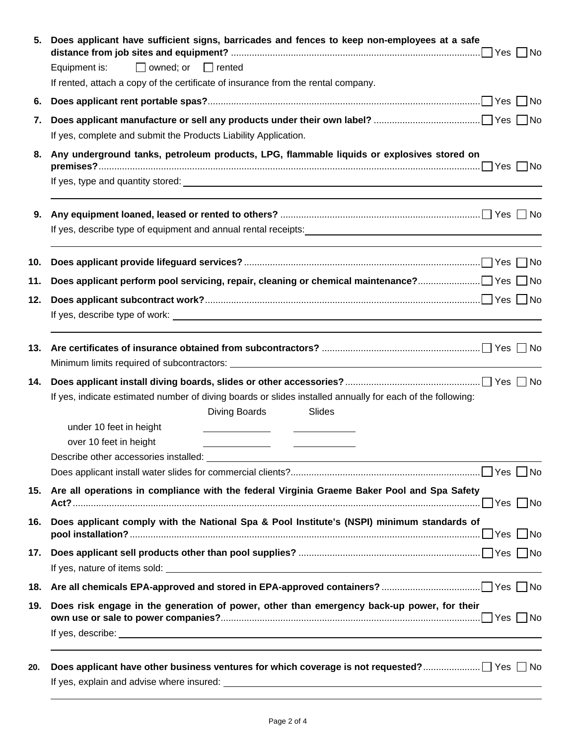| 5.  | Does applicant have sufficient signs, barricades and fences to keep non-employees at a safe                                                                                                                                    |
|-----|--------------------------------------------------------------------------------------------------------------------------------------------------------------------------------------------------------------------------------|
|     | $\Box$ owned; or $\Box$ rented<br>Equipment is:                                                                                                                                                                                |
|     | If rented, attach a copy of the certificate of insurance from the rental company.                                                                                                                                              |
| 6.  |                                                                                                                                                                                                                                |
| 7.  |                                                                                                                                                                                                                                |
|     | If yes, complete and submit the Products Liability Application.                                                                                                                                                                |
| 8.  | Any underground tanks, petroleum products, LPG, flammable liquids or explosives stored on                                                                                                                                      |
|     |                                                                                                                                                                                                                                |
| 9.  |                                                                                                                                                                                                                                |
|     |                                                                                                                                                                                                                                |
| 10. |                                                                                                                                                                                                                                |
| 11. |                                                                                                                                                                                                                                |
| 12. |                                                                                                                                                                                                                                |
|     |                                                                                                                                                                                                                                |
|     |                                                                                                                                                                                                                                |
| 14. |                                                                                                                                                                                                                                |
|     | If yes, indicate estimated number of diving boards or slides installed annually for each of the following:                                                                                                                     |
|     | Diving Boards<br>Slides<br>under 10 feet in height                                                                                                                                                                             |
|     | over 10 feet in height                                                                                                                                                                                                         |
|     | Describe other accessories installed: example and a series of the series of the series of the series of the series of the series of the series of the series of the series of the series of the series of the series of the se |
|     |                                                                                                                                                                                                                                |
|     | 15. Are all operations in compliance with the federal Virginia Graeme Baker Pool and Spa Safety                                                                                                                                |
| 16. | Does applicant comply with the National Spa & Pool Institute's (NSPI) minimum standards of                                                                                                                                     |
|     |                                                                                                                                                                                                                                |
|     |                                                                                                                                                                                                                                |
|     |                                                                                                                                                                                                                                |
| 19. | Does risk engage in the generation of power, other than emergency back-up power, for their                                                                                                                                     |
|     |                                                                                                                                                                                                                                |
|     |                                                                                                                                                                                                                                |
| 20. |                                                                                                                                                                                                                                |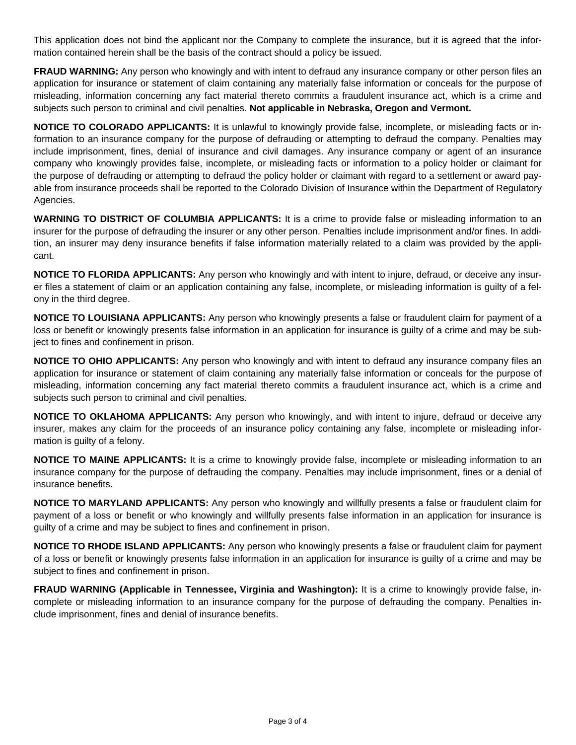This application does not bind the applicant nor the Company to complete the insurance, but it is agreed that the information contained herein shall be the basis of the contract should a policy be issued.

**FRAUD WARNING:** Any person who knowingly and with intent to defraud any insurance company or other person files an application for insurance or statement of claim containing any materially false information or conceals for the purpose of misleading, information concerning any fact material thereto commits a fraudulent insurance act, which is a crime and subjects such person to criminal and civil penalties. **Not applicable in Nebraska, Oregon and Vermont.**

**NOTICE TO COLORADO APPLICANTS:** It is unlawful to knowingly provide false, incomplete, or misleading facts or information to an insurance company for the purpose of defrauding or attempting to defraud the company. Penalties may include imprisonment, fines, denial of insurance and civil damages. Any insurance company or agent of an insurance company who knowingly provides false, incomplete, or misleading facts or information to a policy holder or claimant for the purpose of defrauding or attempting to defraud the policy holder or claimant with regard to a settlement or award payable from insurance proceeds shall be reported to the Colorado Division of Insurance within the Department of Regulatory Agencies.

**WARNING TO DISTRICT OF COLUMBIA APPLICANTS:** It is a crime to provide false or misleading information to an insurer for the purpose of defrauding the insurer or any other person. Penalties include imprisonment and/or fines. In addition, an insurer may deny insurance benefits if false information materially related to a claim was provided by the applicant.

**NOTICE TO FLORIDA APPLICANTS:** Any person who knowingly and with intent to injure, defraud, or deceive any insurer files a statement of claim or an application containing any false, incomplete, or misleading information is guilty of a felony in the third degree.

**NOTICE TO LOUISIANA APPLICANTS:** Any person who knowingly presents a false or fraudulent claim for payment of a loss or benefit or knowingly presents false information in an application for insurance is guilty of a crime and may be subject to fines and confinement in prison.

**NOTICE TO OHIO APPLICANTS:** Any person who knowingly and with intent to defraud any insurance company files an application for insurance or statement of claim containing any materially false information or conceals for the purpose of misleading, information concerning any fact material thereto commits a fraudulent insurance act, which is a crime and subjects such person to criminal and civil penalties.

**NOTICE TO OKLAHOMA APPLICANTS:** Any person who knowingly, and with intent to injure, defraud or deceive any insurer, makes any claim for the proceeds of an insurance policy containing any false, incomplete or misleading information is guilty of a felony.

**NOTICE TO MAINE APPLICANTS:** It is a crime to knowingly provide false, incomplete or misleading information to an insurance company for the purpose of defrauding the company. Penalties may include imprisonment, fines or a denial of insurance benefits.

**NOTICE TO MARYLAND APPLICANTS:** Any person who knowingly and willfully presents a false or fraudulent claim for payment of a loss or benefit or who knowingly and willfully presents false information in an application for insurance is guilty of a crime and may be subject to fines and confinement in prison.

**NOTICE TO RHODE ISLAND APPLICANTS:** Any person who knowingly presents a false or fraudulent claim for payment of a loss or benefit or knowingly presents false information in an application for insurance is guilty of a crime and may be subject to fines and confinement in prison.

**FRAUD WARNING (Applicable in Tennessee, Virginia and Washington):** It is a crime to knowingly provide false, incomplete or misleading information to an insurance company for the purpose of defrauding the company. Penalties include imprisonment, fines and denial of insurance benefits.